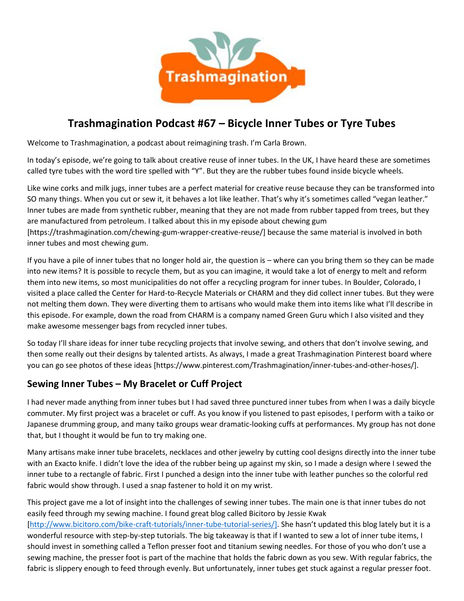

# **Trashmagination Podcast #67 – Bicycle Inner Tubes or Tyre Tubes**

Welcome to Trashmagination, a podcast about reimagining trash. I'm Carla Brown.

In today's episode, we're going to talk about creative reuse of inner tubes. In the UK, I have heard these are sometimes called tyre tubes with the word tire spelled with "Y". But they are the rubber tubes found inside bicycle wheels.

Like wine corks and milk jugs, inner tubes are a perfect material for creative reuse because they can be transformed into SO many things. When you cut or sew it, it behaves a lot like leather. That's why it's sometimes called "vegan leather." Inner tubes are made from synthetic rubber, meaning that they are not made from rubber tapped from trees, but they are manufactured from petroleum. I talked about this in my episode about chewing gum [https://trashmagination.com/chewing-gum-wrapper-creative-reuse/] because the same material is involved in both inner tubes and most chewing gum.

If you have a pile of inner tubes that no longer hold air, the question is – where can you bring them so they can be made into new items? It is possible to recycle them, but as you can imagine, it would take a lot of energy to melt and reform them into new items, so most municipalities do not offer a recycling program for inner tubes. In Boulder, Colorado, I visited a place called the Center for Hard-to-Recycle Materials or CHARM and they did collect inner tubes. But they were not melting them down. They were diverting them to artisans who would make them into items like what I'll describe in this episode. For example, down the road from CHARM is a company named Green Guru which I also visited and they make awesome messenger bags from recycled inner tubes.

So today I'll share ideas for inner tube recycling projects that involve sewing, and others that don't involve sewing, and then some really out their designs by talented artists. As always, I made a great Trashmagination Pinterest board where you can go see photos of these ideas [https://www.pinterest.com/Trashmagination/inner-tubes-and-other-hoses/].

## **Sewing Inner Tubes – My Bracelet or Cuff Project**

I had never made anything from inner tubes but I had saved three punctured inner tubes from when I was a daily bicycle commuter. My first project was a bracelet or cuff. As you know if you listened to past episodes, I perform with a taiko or Japanese drumming group, and many taiko groups wear dramatic-looking cuffs at performances. My group has not done that, but I thought it would be fun to try making one.

Many artisans make inner tube bracelets, necklaces and other jewelry by cutting cool designs directly into the inner tube with an Exacto knife. I didn't love the idea of the rubber being up against my skin, so I made a design where I sewed the inner tube to a rectangle of fabric. First I punched a design into the inner tube with leather punches so the colorful red fabric would show through. I used a snap fastener to hold it on my wrist.

This project gave me a lot of insight into the challenges of sewing inner tubes. The main one is that inner tubes do not easily feed through my sewing machine. I found great blog called Bicitoro by Jessie Kwak [http://www.bicitoro.com/bike-craft-tutorials/inner-tube-tutorial-series/]. She hasn't updated this blog lately but it is a wonderful resource with step-by-step tutorials. The big takeaway is that if I wanted to sew a lot of inner tube items, I should invest in something called a Teflon presser foot and titanium sewing needles. For those of you who don't use a sewing machine, the presser foot is part of the machine that holds the fabric down as you sew. With regular fabrics, the fabric is slippery enough to feed through evenly. But unfortunately, inner tubes get stuck against a regular presser foot.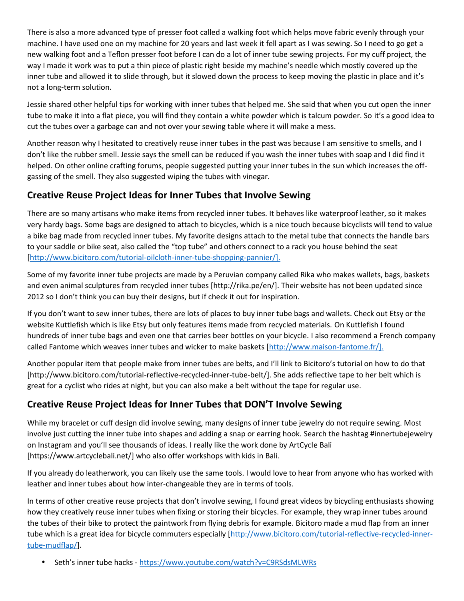There is also a more advanced type of presser foot called a walking foot which helps move fabric evenly through your machine. I have used one on my machine for 20 years and last week it fell apart as I was sewing. So I need to go get a new walking foot and a Teflon presser foot before I can do a lot of inner tube sewing projects. For my cuff project, the way I made it work was to put a thin piece of plastic right beside my machine's needle which mostly covered up the inner tube and allowed it to slide through, but it slowed down the process to keep moving the plastic in place and it's not a long-term solution.

Jessie shared other helpful tips for working with inner tubes that helped me. She said that when you cut open the inner tube to make it into a flat piece, you will find they contain a white powder which is talcum powder. So it's a good idea to cut the tubes over a garbage can and not over your sewing table where it will make a mess.

Another reason why I hesitated to creatively reuse inner tubes in the past was because I am sensitive to smells, and I don't like the rubber smell. Jessie says the smell can be reduced if you wash the inner tubes with soap and I did find it helped. On other online crafting forums, people suggested putting your inner tubes in the sun which increases the off gassing of the smell. They also suggested wiping the tubes with vinegar.

## **Creative Reuse Project Ideas for Inner Tubes that Involve Sewing**

There are so many artisans who make items from recycled inner tubes. It behaves like waterproof leather, so it makes very hardy bags. Some bags are designed to attach to bicycles, which is a nice touch because bicyclists will tend to value a bike bag made from recycled inner tubes. My favorite designs attach to the metal tube that connects the handle bars to your saddle or bike seat, also called the "top tube" and others connect to a rack you house behind the seat [http://www.bicitoro.com/tutorial-oilcloth-inner-tube-shopping-pannier/].

Some of my favorite inner tube projects are made by a Peruvian company called Rika who makes wallets, bags, baskets and even animal sculptures from recycled inner tubes [http://rika.pe/en/]. Their website has not been updated since 2012 so I don't think you can buy their designs, but if check it out for inspiration.

If you don't want to sew inner tubes, there are lots of places to buy inner tube bags and wallets. Check out Etsy or the website Kuttlefish which is like Etsy but only features items made from recycled materials. On Kuttlefish I found hundreds of inner tube bags and even one that carries beer bottles on your bicycle. I also recommend a French company called Fantome which weaves inner tubes and wicker to make baskets [http://www.maison-fantome.fr/].

Another popular item that people make from inner tubes are belts, and I'll link to Bicitoro's tutorial on how to do that [http://www.bicitoro.com/tutorial-reflective-recycled-inner-tube-belt/]. She adds reflective tape to her belt which is great for a cyclist who rides at night, but you can also make a belt without the tape for regular use.

## **Creative Reuse Project Ideas for Inner Tubes that DON'T Involve Sewing**

While my bracelet or cuff design did involve sewing, many designs of inner tube jewelry do not require sewing. Most involve just cutting the inner tube into shapes and adding a snap or earring hook. Search the hashtag #innertubejewelry on Instagram and you'll see thousands of ideas. I really like the work done by ArtCycle Bali [https://www.artcyclebali.net/] who also offer workshops with kids in Bali.

If you already do leatherwork, you can likely use the same tools. I would love to hear from anyone who has worked with leather and inner tubes about how inter-changeable they are in terms of tools.

In terms of other creative reuse projects that don't involve sewing, I found great videos by bicycling enthusiasts showing how they creatively reuse inner tubes when fixing or storing their bicycles. For example, they wrap inner tubes around the tubes of their bike to protect the paintwork from flying debris for example. Bicitoro made a mud flap from an inner tube which is a great idea for bicycle commuters especially [http://www.bicitoro.com/tutorial-reflective-recycled-innertube-mudflap/].

• Seth's inner tube hacks - https://www.youtube.com/watch?v=C9RSdsMLWRs